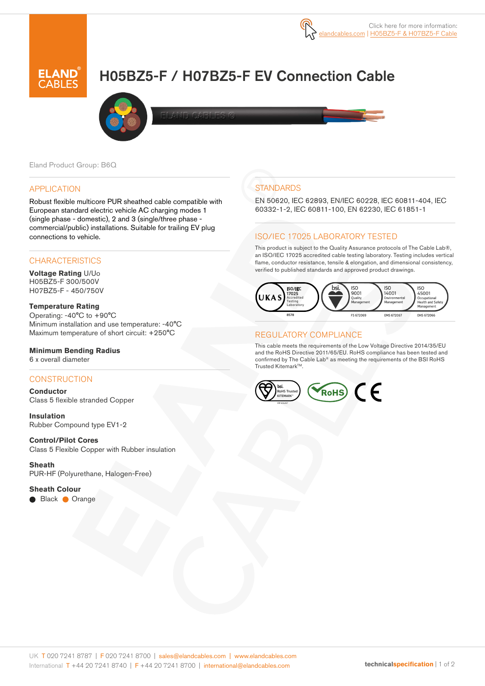

# H05BZ5-F / H07BZ5-F EV Connection Cable



Eland Product Group: B6Q

#### APPLICATION

Robust flexible multicore PUR sheathed cable compatible with European standard electric vehicle AC charging modes 1 (single phase - domestic), 2 and 3 (single/three phase commercial/public) installations. Suitable for trailing EV plug connections to vehicle.

## **CHARACTERISTICS**

**Voltage Rating** U/Uo H05BZ5-F 300/500V H07BZ5-F - 450/750V

**Temperature Rating**  Operating: -40°C to +90°C Minimum installation and use temperature: -40°C Maximum temperature of short circuit: +250°C

## **Minimum Bending Radius**

6 x overall diameter

# **CONSTRUCTION**

**Conductor** Class 5 flexible stranded Copper

**Insulation** Rubber Compound type EV1-2

# **Control/Pilot Cores**

Class 5 Flexible Copper with Rubber insulation

**Sheath** PUR-HF (Polyurethane, Halogen-Free)

#### **Sheath Colour**

**Black Orange** 

# **STANDARDS**

EN 50620, IEC 62893, EN/IEC 60228, IEC 60811-404, IEC 60332-1-2, IEC 60811-100, EN 62230, IEC 61851-1

#### ISO/IEC 17025 LABORATORY TESTED

This product is subject to the Quality Assurance protocols of The Cable Lab®, an ISO/IEC 17025 accredited cable testing laboratory. Testing includes vertical flame, conductor resistance, tensile & elongation, and dimensional consistency, verified to published standards and approved product drawings.



## REGULATORY COMPLIANCE

This cable meets the requirements of the Low Voltage Directive 2014/35/EU and the RoHS Directive 2011/65/EU. RoHS compliance has been tested and confirmed by The Cable Lab® as meeting the requirements of the BSI RoHS Trusted Kitemark™.